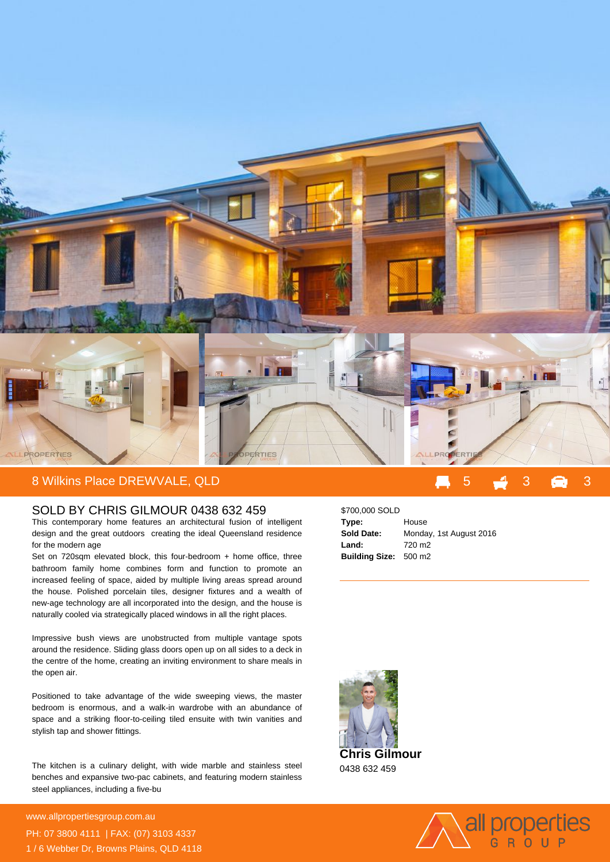

## SOLD BY CHRIS GILMOUR 0438 632 459

This contemporary home features an architectural fusion of intelligent design and the great outdoors creating the ideal Queensland residence for the modern age

Set on 720sqm elevated block, this four-bedroom + home office, three bathroom family home combines form and function to promote an increased feeling of space, aided by multiple living areas spread around the house. Polished porcelain tiles, designer fixtures and a wealth of new-age technology are all incorporated into the design, and the house is naturally cooled via strategically placed windows in all the right places.

Impressive bush views are unobstructed from multiple vantage spots around the residence. Sliding glass doors open up on all sides to a deck in the centre of the home, creating an inviting environment to share meals in the open air.

Positioned to take advantage of the wide sweeping views, the master bedroom is enormous, and a walk-in wardrobe with an abundance of space and a striking floor-to-ceiling tiled ensuite with twin vanities and stylish tap and shower fittings.

The kitchen is a culinary delight, with wide marble and stainless steel benches and expansive two-pac cabinets, and featuring modern stainless steel appliances, including a five-bu

**For more details please visit** www.allpropertiesgroup.com.au/<br>2009 PH: 07 3800 4111 | FAX: (07) 3103 4337 1 / 6 Webber Dr, Browns Plains, QLD 4118

## \$700,000 SOLD **Type:** House **Sold Date:** Monday, 1st August 2016 **Land:** 720 m2 **Building Size:** 500 m2



0438 632 459